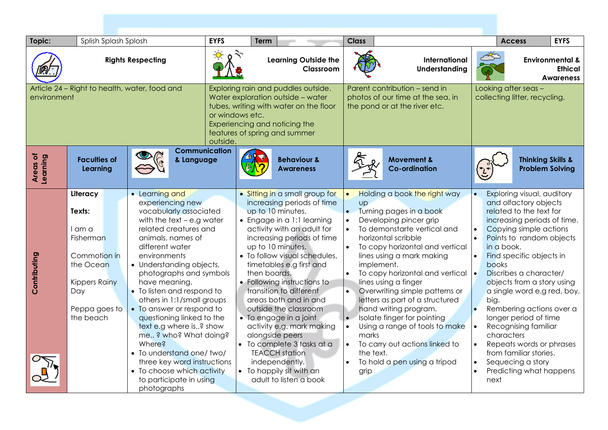| Topic:                                                       | Splish Splash Splosh                                                                                                                |                                                                                                                                                                                                                                                                                                                                                                                                                                                                                                                                                                             | <b>EYFS</b>                                                                                                                                                                                                         | Term                                     |                                                                                                                                                                                                                                                                                                                                                                                                                                                                                                                                                                                    | <b>Class</b>                                |                                                                                                                                                                                                                                                                                                                                                                                                                                                                                                                                         |                                                                                                                                | <b>Access</b>                                                                                                                                                                                                                                                                                                                                                                                                                                                                                                                  | <b>EYFS</b>            |
|--------------------------------------------------------------|-------------------------------------------------------------------------------------------------------------------------------------|-----------------------------------------------------------------------------------------------------------------------------------------------------------------------------------------------------------------------------------------------------------------------------------------------------------------------------------------------------------------------------------------------------------------------------------------------------------------------------------------------------------------------------------------------------------------------------|---------------------------------------------------------------------------------------------------------------------------------------------------------------------------------------------------------------------|------------------------------------------|------------------------------------------------------------------------------------------------------------------------------------------------------------------------------------------------------------------------------------------------------------------------------------------------------------------------------------------------------------------------------------------------------------------------------------------------------------------------------------------------------------------------------------------------------------------------------------|---------------------------------------------|-----------------------------------------------------------------------------------------------------------------------------------------------------------------------------------------------------------------------------------------------------------------------------------------------------------------------------------------------------------------------------------------------------------------------------------------------------------------------------------------------------------------------------------------|--------------------------------------------------------------------------------------------------------------------------------|--------------------------------------------------------------------------------------------------------------------------------------------------------------------------------------------------------------------------------------------------------------------------------------------------------------------------------------------------------------------------------------------------------------------------------------------------------------------------------------------------------------------------------|------------------------|
| <b>Rights Respecting</b>                                     |                                                                                                                                     |                                                                                                                                                                                                                                                                                                                                                                                                                                                                                                                                                                             |                                                                                                                                                                                                                     | <b>Learning Outside the</b><br>Classroom |                                                                                                                                                                                                                                                                                                                                                                                                                                                                                                                                                                                    | International<br><b>Understanding</b>       |                                                                                                                                                                                                                                                                                                                                                                                                                                                                                                                                         |                                                                                                                                | <b>Environmental &amp;</b><br><b>Ethical</b><br><b>Awareness</b>                                                                                                                                                                                                                                                                                                                                                                                                                                                               |                        |
| Article 24 – Right to health, water, food and<br>environment |                                                                                                                                     |                                                                                                                                                                                                                                                                                                                                                                                                                                                                                                                                                                             | Exploring rain and puddles outside.<br>Water exploration outside - water<br>tubes, writing with water on the floor<br>or windows etc.<br>Experiencing and noticing the<br>features of spring and summer<br>outside. |                                          | Parent contribution - send in<br>photos of our time at the sea, in<br>the pond or at the river etc.                                                                                                                                                                                                                                                                                                                                                                                                                                                                                |                                             | Looking after seas -<br>collecting litter, recycling.                                                                                                                                                                                                                                                                                                                                                                                                                                                                                   |                                                                                                                                |                                                                                                                                                                                                                                                                                                                                                                                                                                                                                                                                |                        |
| Areas of<br>Learning                                         | <b>Faculties of</b><br>Learning                                                                                                     | <b>Communication</b><br>& Language                                                                                                                                                                                                                                                                                                                                                                                                                                                                                                                                          |                                                                                                                                                                                                                     |                                          | <b>Behaviour &amp;</b><br><b>Awareness</b>                                                                                                                                                                                                                                                                                                                                                                                                                                                                                                                                         |                                             | <b>Movement &amp;</b><br><b>Co-ordination</b>                                                                                                                                                                                                                                                                                                                                                                                                                                                                                           |                                                                                                                                | <b>Thinking Skills &amp;</b>                                                                                                                                                                                                                                                                                                                                                                                                                                                                                                   | <b>Problem Solving</b> |
| Contributing                                                 | Literacy<br>Texts:<br>I am a<br>Fisherman<br>Commotion in<br>the Ocean<br><b>Kippers Rainy</b><br>Day<br>Peppa goes to<br>the beach | • Learning and<br>experiencing new<br>vocabularly associated<br>with the text $-$ e.g water<br>related creatures and<br>animals, names of<br>different water<br>environments<br>• Understanding objects,<br>photographs and symbols<br>have meaning.<br>• To listen and respond to<br>others in 1:1/small groups<br>• To answer or respond to<br>questioning linked to the<br>text e.g where is? show<br>me ? who? What doing?<br>Where?<br>• To understand one/two/<br>three key word instructions<br>• To choose which activity<br>to participate in using<br>photographs |                                                                                                                                                                                                                     | then boards.                             | • Sitting in a small group for<br>increasing periods of time<br>up to 10 minutes.<br>• Engage in a 1:1 learning<br>activity with an adult for<br>increasing periods of time<br>up to 10 minutes.<br>• To follow visual schedules,<br>timetables e.g first and<br>• Following instructions to<br>transition to different<br>areas both and in and<br>outside the classroom<br>• To engage in a joint<br>activity e.g. mark making<br>alongside peers<br>• To complete 3 tasks at a<br><b>TEACCH station</b><br>independently.<br>• To happily sit with an<br>adult to listen a book | $\bullet$<br><b>Up</b><br>$\bullet$<br>grip | Holding a book the right way<br>Turning pages in a book<br>Developing pincer grip<br>To demonstarte vertical and<br>horizontal scribble<br>To copy horizontal and vertical<br>lines using a mark making<br>implement.<br>To copy horizontal and vertical<br>lines using a finger<br>Overwriting simple patterns or<br>letters as part of a structured<br>hand writing program.<br>Isolate finger for pointing<br>Using a range of tools to make<br>marks<br>To carry out actions linked to<br>the text.<br>To hold a pen using a tripod | $\bullet$<br>$\bullet$<br>$\bullet$<br>$\bullet$<br>$\bullet$<br>$\bullet$<br>$\bullet$<br>$\bullet$<br>$\bullet$<br>$\bullet$ | Exploring visual, auditory<br>and olfactory objects<br>related to the text for<br>increasing periods of time.<br>Copying simple actions<br>Points to random objects<br>in a book.<br>Find specific objects in<br>books<br>Discribes a character/<br>objects from a story using<br>a single word e.g red, boy,<br>big.<br>Rembering actions over a<br>longer period of time<br>Recognising familiar<br>characters<br>Repeats words or phrases<br>from familiar stories.<br>Sequecing a story<br>Predicting what happens<br>next |                        |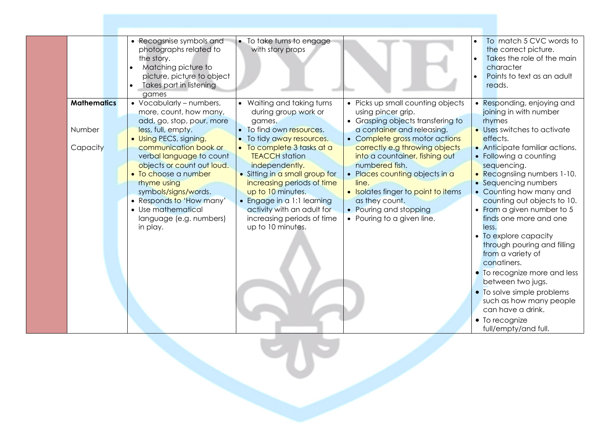|                              | • Recogsnise symbols and<br>photographs related to<br>the story.<br>Matching picture to<br>picture, picture to object<br>Takes part in listening<br>games                                                                                                         | • To take turns to engage<br>with story props                                                                                                                                                                                                                                                          |                                                                                                                                                                                                                                                                                  | To match 5 CVC words to<br>the correct picture.<br>Takes the role of the main<br>character<br>Points to text as an adult<br>reads.                                                                                                                                                                                                                                                                                                                                                                                                             |
|------------------------------|-------------------------------------------------------------------------------------------------------------------------------------------------------------------------------------------------------------------------------------------------------------------|--------------------------------------------------------------------------------------------------------------------------------------------------------------------------------------------------------------------------------------------------------------------------------------------------------|----------------------------------------------------------------------------------------------------------------------------------------------------------------------------------------------------------------------------------------------------------------------------------|------------------------------------------------------------------------------------------------------------------------------------------------------------------------------------------------------------------------------------------------------------------------------------------------------------------------------------------------------------------------------------------------------------------------------------------------------------------------------------------------------------------------------------------------|
| <b>Mathematics</b><br>Number | • Vocabularly - numbers,<br>more, count, how many,<br>add, go, stop, pour, more<br>less, full, empty.                                                                                                                                                             | • Waiting and taking turns<br>during group work or<br>games.<br>• To find own resources.                                                                                                                                                                                                               | • Picks up small counting objects<br>using pincer grip.<br>• Grasping objects transfering to<br>a container and releasing.                                                                                                                                                       | • Responding, enjoying and<br>joining in with number<br>rhymes<br>• Uses switches to activate                                                                                                                                                                                                                                                                                                                                                                                                                                                  |
| Capacity                     | • Using PECS, signing,<br>communication book or<br>verbal language to count<br>objects or count out loud.<br>• To choose a number<br>rhyme using<br>symbols/signs/words.<br>• Responds to 'How many'<br>• Use mathematical<br>language (e.g. numbers)<br>in play. | • To tidy away resources.<br>• To complete 3 tasks at a<br><b>TEACCH</b> station<br>independently.<br>• Sitting in a small group for<br>increasing periods of time<br>up to 10 minutes.<br>• Engage in a 1:1 learning<br>activity with an adult for<br>increasing periods of time<br>up to 10 minutes. | • Complete gross motor actions<br>correctly e.g throwing objects<br>into a countainer, fishing out<br>numbered fish.<br>• Places counting objects in a<br>line.<br>• Isolates finger to point to items<br>as they count.<br>• Pouring and stopping<br>• Pouring to a given line. | effects.<br>• Anticipate familiar actions.<br>• Following a counting<br>sequencing.<br>• Recognsiing numbers 1-10.<br>• Sequencing numbers<br>• Counting how many and<br>counting out objects to 10.<br>• From a given number to 5<br>finds one more and one<br>less.<br>• To explore capacity<br>through pouring and filling<br>from a variety of<br>conatiners.<br>• To recognize more and less<br>between two jugs.<br>• To solve simple problems<br>such as how many people<br>can have a drink.<br>• To recognize<br>full/empty/and full. |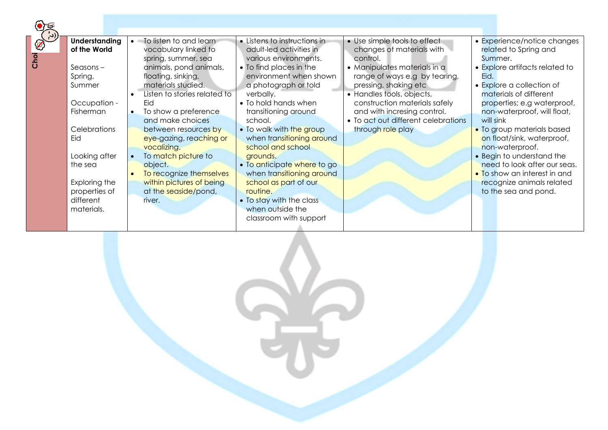| Chol<br>© | <b>Understanding</b><br>of the World                      | To listen to and learn<br>vocabulary linked to<br>spring, summer, sea                              | • Listens to instructions in<br>adult-led activities in<br>various environments.  | • Use simple tools to effect<br>changes of materials with<br>control.                                               | • Experience/notice changes<br>related to Spring and<br>Summer.                               |
|-----------|-----------------------------------------------------------|----------------------------------------------------------------------------------------------------|-----------------------------------------------------------------------------------|---------------------------------------------------------------------------------------------------------------------|-----------------------------------------------------------------------------------------------|
|           | $S$ easons –<br>Spring,<br>Summer                         | animals, pond animals,<br>floating, sinking,<br>materials studied.<br>Listen to stories related to | • To find places in the<br>environment when shown<br>a photograph or told         | • Manipulates materials in a<br>range of ways e.g by tearing,<br>pressing, shaking etc<br>• Handles tools, objects, | • Explore artifacts related to<br>Eid.<br>• Explore a collection of<br>materials of different |
|           | Occupation -<br>Fisherman                                 | Eid<br>To show a preference<br>$\bullet$<br>and make choices                                       | verbally.<br>• To hold hands when<br>transitioning around<br>school.              | construction materials safely<br>and with incresing control.<br>• To act out different celebrations                 | properties; e.g waterproof,<br>non-waterproof, will float,<br>will sink                       |
|           | Celebrations<br>Eid                                       | between resources by<br>eye-gazing, reaching or<br>vocalizing.                                     | . To walk with the group<br>when transitioning around<br>school and school        | through role play                                                                                                   | • To group materials based<br>on float/sink, waterproof,<br>non-waterproof.                   |
|           | Looking after<br>the sea                                  | To match picture to<br>object.<br>To recognize themselves                                          | grounds.<br>• To anticipate where to go<br>when transitioning around              |                                                                                                                     | • Begin to understand the<br>need to look after our seas.<br>• To show an interest in and     |
|           | Exploring the<br>properties of<br>different<br>materials. | within pictures of being<br>at the seaside/pond,<br>river.                                         | school as part of our<br>routine.<br>• To stay with the class<br>when outside the |                                                                                                                     | recognize animals related<br>to the sea and pond.                                             |
|           |                                                           |                                                                                                    | classroom with support                                                            |                                                                                                                     |                                                                                               |